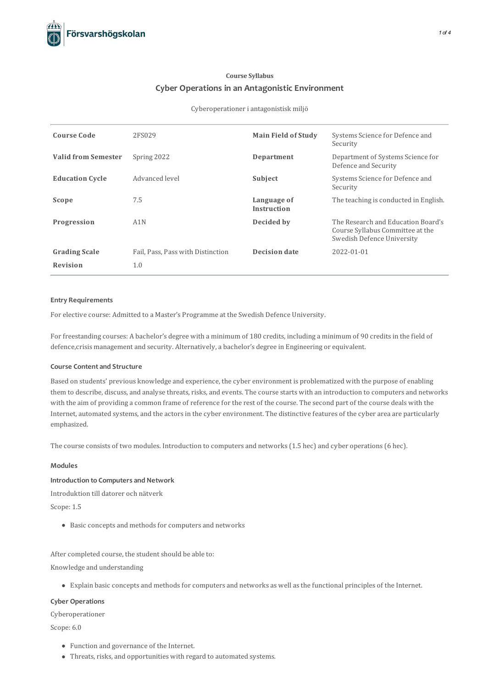# **Course Syllabus Cyber Operations in an Antagonistic Environment**

#### Cyberoperationer i antagonistisk miljö

| <b>Course Code</b>         | 2FS029                            | <b>Main Field of Study</b>        | Systems Science for Defence and<br>Security                                                          |
|----------------------------|-----------------------------------|-----------------------------------|------------------------------------------------------------------------------------------------------|
| <b>Valid from Semester</b> | Spring 2022                       | Department                        | Department of Systems Science for<br>Defence and Security                                            |
| <b>Education Cycle</b>     | Advanced level                    | Subject                           | Systems Science for Defence and<br>Security                                                          |
| Scope                      | 7.5                               | Language of<br><b>Instruction</b> | The teaching is conducted in English.                                                                |
| Progression                | A1N                               | Decided by                        | The Research and Education Board's<br>Course Syllabus Committee at the<br>Swedish Defence University |
| <b>Grading Scale</b>       | Fail, Pass, Pass with Distinction | <b>Decision date</b>              | 2022-01-01                                                                                           |
| <b>Revision</b>            | 1.0                               |                                   |                                                                                                      |

## **Entry Requirements**

For elective course: Admitted to a Master's Programme at the Swedish Defence University.

For freestanding courses: A bachelor's degree with a minimum of 180 credits, including a minimum of 90 creditsin the field of defence,crisis management and security. Alternatively, a bachelor's degree in Engineering or equivalent.

# **Course Contentand Structure**

Based on students' previous knowledge and experience, the cyber environment is problematized with the purpose of enabling them to describe, discuss, and analyse threats, risks, and events. The course starts with an introduction to computers and networks with the aim of providing a common frame of reference for the rest of the course. The second part of the course deals with the Internet, automated systems, and the actorsin the cyber environment. The distinctive features of the cyber area are particularly emphasized.

The course consists of two modules. Introduction to computers and networks(1.5 hec) and cyber operations(6 hec).

# **Modules**

# **Introduction to Computersand Network**

Introduktion till datorer och nätverk

Scope: 1.5

• Basic concepts and methods for computers and networks

After completed course, the student should be able to:

Knowledge and understanding

Explain basic concepts and methodsforcomputers and networks as well asthe functional principles of the Internet.

# **Cyber Operations**

Cyberoperationer

Scope: 6.0

- Function and governance of the Internet.
- Threats, risks, and opportunities with regard to automated systems.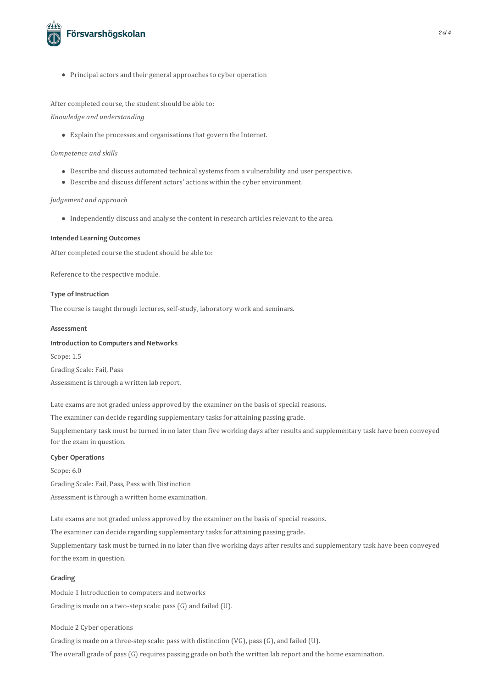

• Principal actors and their general approaches to cyber operation

## After completed course, the student should be able to:

# *Knowledge and understanding*

• Explain the processes and organisations that govern the Internet.

#### *Competence and skills*

- $\bullet$  Describe and discuss automated technical systems from a vulnerability and user perspective.
- Describe and discuss different actors' actions within the cyber environment.

# *Judgement and approach*

 $\bullet$  Independently discuss and analyse the content in research articles relevant to the area.

## **Intended Learning Outcomes**

After completed course the student should be able to:

Reference to the respective module.

#### **Type of Instruction**

The course is taught through lectures, self-study, laboratory work and seminars.

## **Assessment**

# **Introduction to Computersand Networks**

Scope: 1.5 Grading Scale: Fail, Pass Assessment is through a written lab report.

Late exams are not graded unless approved by the examiner on the basis of special reasons.

The examiner can decide regarding supplementary tasks for attaining passing grade.

Supplementary task must be turned in no later than five working days after results and supplementary task have been conveyed for the exam in question.

#### **Cyber Operations**

Scope: 6.0 Grading Scale: Fail, Pass, Pass with Distinction Assessment is through a written home examination.

Late exams are not graded unless approved by the examiner on the basis of special reasons.

The examiner can decide regarding supplementary tasks for attaining passing grade.

Supplementary task must be turned in no later than five working days after results and supplementary task have been conveyed for the exam in question.

## **Grading**

Module 1 Introduction to computers and networks Grading is made on a two-step scale: pass(G) and failed (U).

Module 2 Cyber operations

Grading is made on a three-step scale: pass with distinction (VG), pass(G), and failed (U).

The overall grade of pass(G) requires passing grade on both the written lab report and the home examination.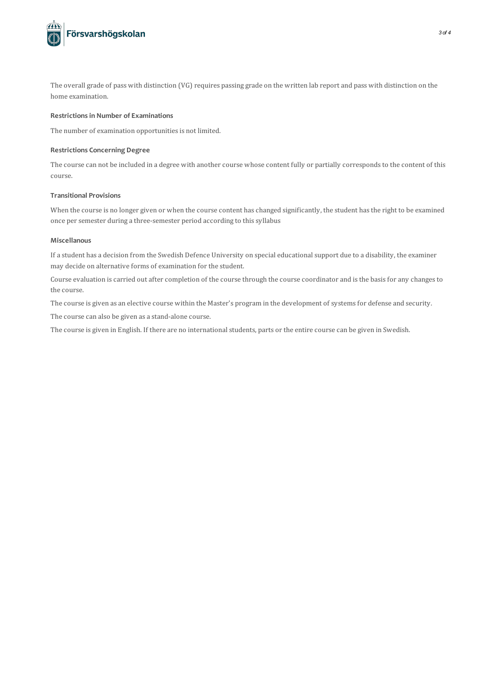

The overall grade of pass with distinction (VG) requires passing grade on the written lab report and pass with distinction on the home examination.

# **Restrictionsin Number of Examinations**

The number of examination opportunities is not limited.

## **Restrictions Concerning Degree**

The course can not be included in a degree with another course whose content fully or partially corresponds to the content of this course.

# **Transitional Provisions**

When the course is no longer given or when the course content has changed significantly, the student has the right to be examined once per semester during a three-semester period according to this syllabus

## **Miscellanous**

If a student has a decision from the Swedish Defence University on special educationalsupport due to a disability, the examiner may decide on alternative forms of examination for the student.

Course evaluation is carried out after completion of the course through the course coordinator and is the basis for any changes to the course.

The course is given as an elective course within the Master's program in the development of systems for defense and security.

The course can also be given as a stand-alone course.

The course is given in English. If there are no international students, parts or the entire course can be given in Swedish.